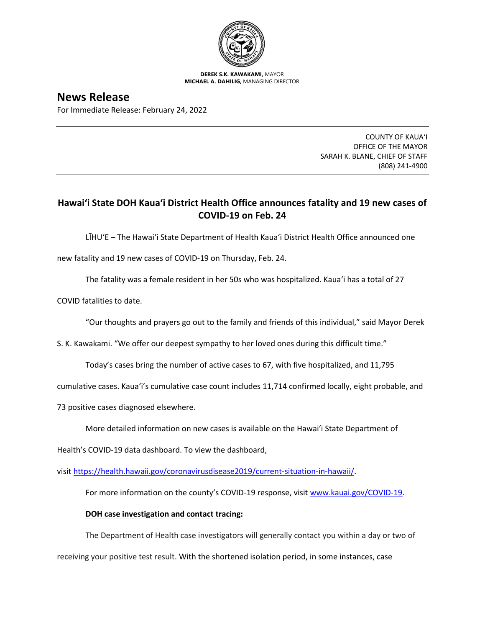

**DEREK S.K. KAWAKAMI,** MAYOR **MICHAEL A. DAHILIG,** MANAGING DIRECTOR

**News Release** For Immediate Release: February 24, 2022

> COUNTY OF KAUA'I OFFICE OF THE MAYOR SARAH K. BLANE, CHIEF OF STAFF (808) 241-4900

## **Hawai'i State DOH Kaua'i District Health Office announces fatality and 19 new cases of COVID-19 on Feb. 24**

LĪHU'E – The Hawai'i State Department of Health Kaua'i District Health Office announced one

new fatality and 19 new cases of COVID-19 on Thursday, Feb. 24.

The fatality was a female resident in her 50s who was hospitalized. Kaua'i has a total of 27

COVID fatalities to date.

"Our thoughts and prayers go out to the family and friends of this individual," said Mayor Derek

S. K. Kawakami. "We offer our deepest sympathy to her loved ones during this difficult time."

Today's cases bring the number of active cases to 67, with five hospitalized, and 11,795

cumulative cases. Kaua'i's cumulative case count includes 11,714 confirmed locally, eight probable, and

73 positive cases diagnosed elsewhere.

More detailed information on new cases is available on the Hawai'i State Department of

Health's COVID-19 data dashboard. To view the dashboard,

visit [https://health.hawaii.gov/coronavirusdisease2019/current-situation-in-hawaii/.](https://health.hawaii.gov/coronavirusdisease2019/current-situation-in-hawaii/)

For more information on the county's COVID-19 response, visit [www.kauai.gov/COVID-19.](https://urldefense.com/v3/__http:/www.kauai.gov/COVID-19__;!!LIYSdFfckKA!l4A5nHuw73q2ubt1jVfVpBxrgAoeT-qm9LHA2X0eDo7DmU1d8EztTez1J2SRjWo05uCKvMiUtA$)

## **DOH case investigation and contact tracing:**

The Department of Health case investigators will generally contact you within a day or two of

receiving your positive test result. With the shortened isolation period, in some instances, case